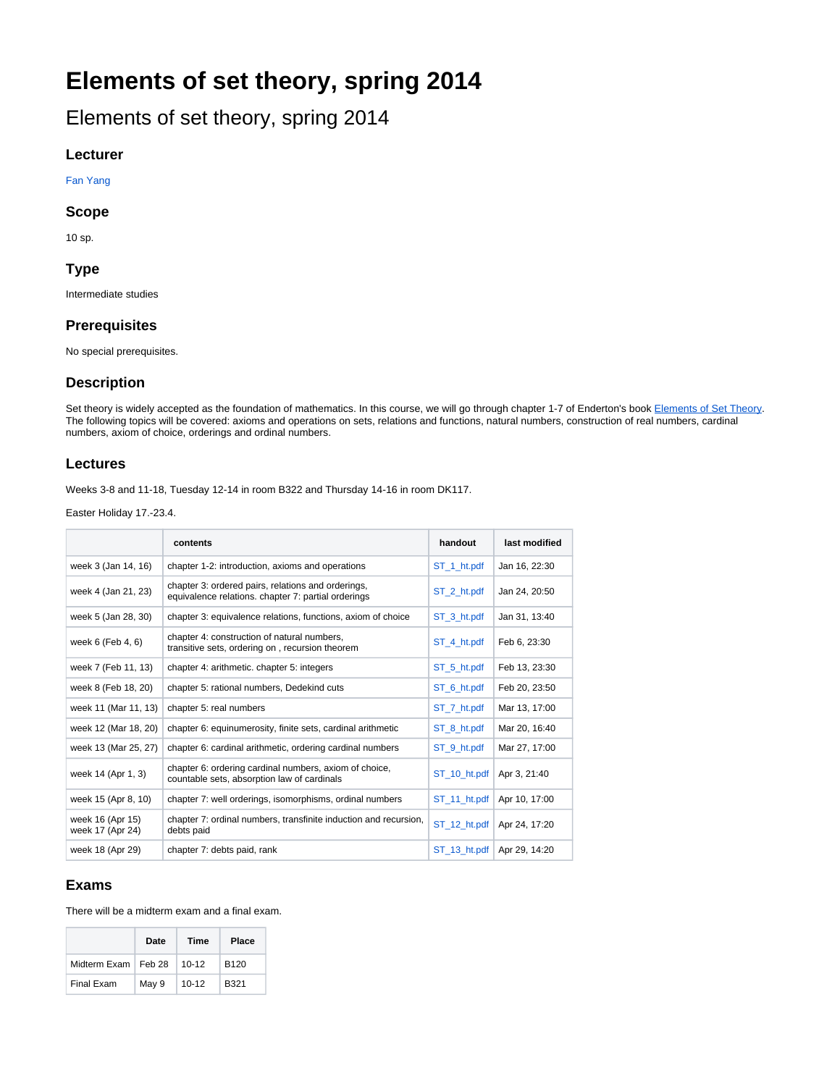# **Elements of set theory, spring 2014**

Elements of set theory, spring 2014

#### **Lecturer**

[Fan Yang](https://wiki.helsinki.fi/display/mathstatHenkilokunta/Yang%2C+Fan)

#### **Scope**

10 sp.

#### **Type**

Intermediate studies

#### **Prerequisites**

No special prerequisites.

#### **Description**

Set theory is widely accepted as the foundation of mathematics. In this course, we will go through chapter 1-7 of Enderton's book [Elements of Set Theory.](http://www.amazon.com/Elements-Set-Theory-Herbert-Enderton/dp/0122384407) The following topics will be covered: axioms and operations on sets, relations and functions, natural numbers, construction of real numbers, cardinal numbers, axiom of choice, orderings and ordinal numbers.

#### **Lectures**

Weeks 3-8 and 11-18, Tuesday 12-14 in room B322 and Thursday 14-16 in room DK117.

Easter Holiday 17.-23.4.

|                                      | contents                                                                                                  | handout      | last modified |
|--------------------------------------|-----------------------------------------------------------------------------------------------------------|--------------|---------------|
| week 3 (Jan 14, 16)                  | chapter 1-2: introduction, axioms and operations                                                          | ST_1_ht.pdf  | Jan 16, 22:30 |
| week 4 (Jan 21, 23)                  | chapter 3: ordered pairs, relations and orderings,<br>equivalence relations. chapter 7: partial orderings | ST 2 ht.pdf  | Jan 24, 20:50 |
| week 5 (Jan 28, 30)                  | chapter 3: equivalence relations, functions, axiom of choice                                              | ST 3 ht.pdf  | Jan 31, 13:40 |
| week $6$ (Feb $4, 6$ )               | chapter 4: construction of natural numbers,<br>transitive sets, ordering on, recursion theorem            | ST 4 ht.pdf  | Feb 6, 23:30  |
| week 7 (Feb 11, 13)                  | chapter 4: arithmetic. chapter 5: integers                                                                | ST_5_ht.pdf  | Feb 13, 23:30 |
| week 8 (Feb 18, 20)                  | chapter 5: rational numbers, Dedekind cuts                                                                | ST 6 ht.pdf  | Feb 20, 23:50 |
| week 11 (Mar 11, 13)                 | chapter 5: real numbers                                                                                   | ST_7_ht.pdf  | Mar 13, 17:00 |
| week 12 (Mar 18, 20)                 | chapter 6: equinumerosity, finite sets, cardinal arithmetic                                               | ST_8_ht.pdf  | Mar 20, 16:40 |
| week 13 (Mar 25, 27)                 | chapter 6: cardinal arithmetic, ordering cardinal numbers                                                 | ST 9 ht.pdf  | Mar 27, 17:00 |
| week 14 (Apr 1, 3)                   | chapter 6: ordering cardinal numbers, axiom of choice,<br>countable sets, absorption law of cardinals     | ST_10_ht.pdf | Apr 3, 21:40  |
| week 15 (Apr 8, 10)                  | chapter 7: well orderings, isomorphisms, ordinal numbers                                                  | ST 11 ht.pdf | Apr 10, 17:00 |
| week 16 (Apr 15)<br>week 17 (Apr 24) | chapter 7: ordinal numbers, transfinite induction and recursion,<br>debts paid                            | ST 12 ht.pdf | Apr 24, 17:20 |
| week 18 (Apr 29)                     | chapter 7: debts paid, rank                                                                               | ST 13 ht.pdf | Apr 29, 14:20 |

#### **Exams**

There will be a midterm exam and a final exam.

|                       | Date  | <b>Time</b> | Place            |
|-----------------------|-------|-------------|------------------|
| Midterm Exam   Feb 28 |       | $10 - 12$   | B <sub>120</sub> |
| Final Exam            | May 9 | $10 - 12$   | B321             |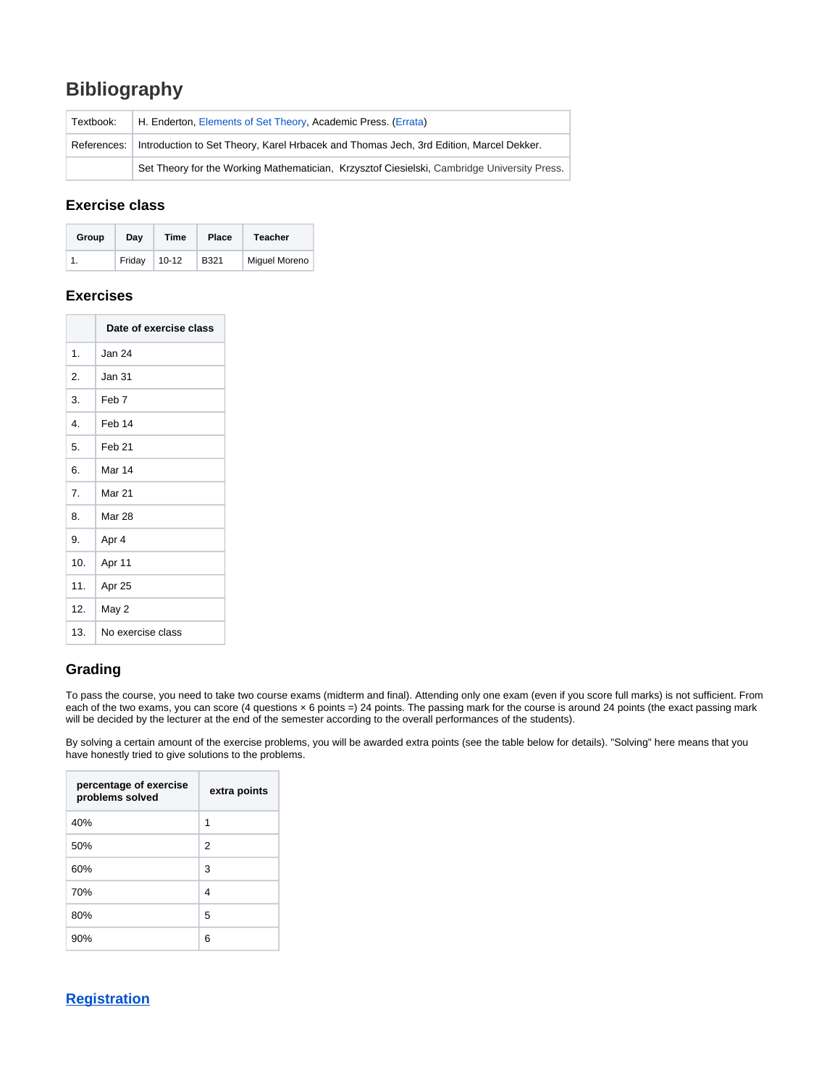# **Bibliography**

| Textbook:   | H. Enderton, Elements of Set Theory, Academic Press. (Errata)<br>Introduction to Set Theory, Karel Hrbacek and Thomas Jech, 3rd Edition, Marcel Dekker. |  |
|-------------|---------------------------------------------------------------------------------------------------------------------------------------------------------|--|
| References: |                                                                                                                                                         |  |
|             | Set Theory for the Working Mathematician, Krzysztof Ciesielski, Cambridge University Press.                                                             |  |

#### **Exercise class**

| Group | Dav    | Time      | Place | Teacher              |
|-------|--------|-----------|-------|----------------------|
|       | Friday | $10 - 12$ | B321  | <b>Miguel Moreno</b> |

#### **Exercises**

|     | Date of exercise class |  |
|-----|------------------------|--|
| 1.  | Jan 24                 |  |
| 2.  | Jan 31                 |  |
| 3.  | Feb <sub>7</sub>       |  |
| 4.  | Feb 14                 |  |
| 5.  | Feb <sub>21</sub>      |  |
| 6.  | Mar 14                 |  |
| 7.  | <b>Mar 21</b>          |  |
| 8.  | <b>Mar 28</b>          |  |
| 9.  | Apr 4                  |  |
| 10. | Apr 11                 |  |
| 11. | Apr 25                 |  |
| 12. | May 2                  |  |
| 13. | No exercise class      |  |

### **Grading**

To pass the course, you need to take two course exams (midterm and final). Attending only one exam (even if you score full marks) is not sufficient. From each of the two exams, you can score (4 questions x 6 points =) 24 points. The passing mark for the course is around 24 points (the exact passing mark will be decided by the lecturer at the end of the semester according to the overall performances of the students).

By solving a certain amount of the exercise problems, you will be awarded extra points (see the table below for details). "Solving" here means that you have honestly tried to give solutions to the problems.

| percentage of exercise<br>problems solved | extra points   |
|-------------------------------------------|----------------|
| 40%                                       | 1              |
| 50%                                       | $\overline{2}$ |
| 60%                                       | 3              |
| 70%                                       | 4              |
| 80%                                       | 5              |
| 90%                                       | 6              |

## **[Registration](https://oodi-www.it.helsinki.fi/hy/opintjakstied.jsp?html=1&Tunniste=57088)**